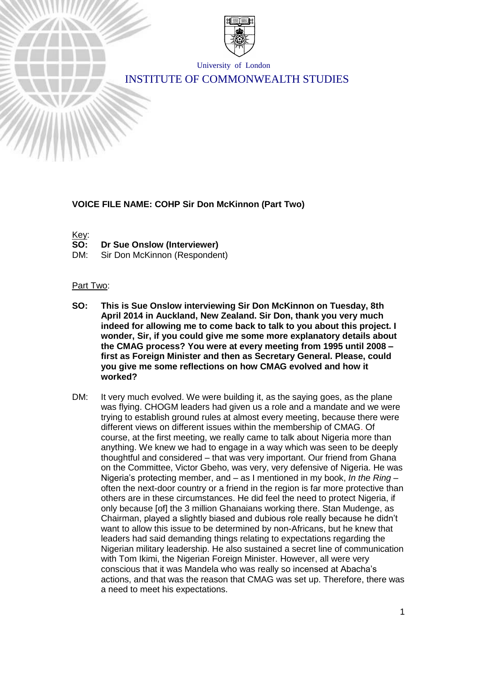

University of London

# INSTITUTE OF COMMONWEALTH STUDIES

### **VOICE FILE NAME: COHP Sir Don McKinnon (Part Two)**

Key:

- **SO: Dr Sue Onslow (Interviewer)**
- DM: Sir Don McKinnon (Respondent)

#### Part Two:

- **SO: This is Sue Onslow interviewing Sir Don McKinnon on Tuesday, 8th April 2014 in Auckland, New Zealand. Sir Don, thank you very much indeed for allowing me to come back to talk to you about this project. I wonder, Sir, if you could give me some more explanatory details about the CMAG process? You were at every meeting from 1995 until 2008 – first as Foreign Minister and then as Secretary General. Please, could you give me some reflections on how CMAG evolved and how it worked?**
- DM: It very much evolved. We were building it, as the saying goes, as the plane was flying. CHOGM leaders had given us a role and a mandate and we were trying to establish ground rules at almost every meeting, because there were different views on different issues within the membership of CMAG. Of course, at the first meeting, we really came to talk about Nigeria more than anything. We knew we had to engage in a way which was seen to be deeply thoughtful and considered – that was very important. Our friend from Ghana on the Committee, Victor Gbeho, was very, very defensive of Nigeria. He was Nigeria's protecting member, and – as I mentioned in my book, *In the Ring* – often the next-door country or a friend in the region is far more protective than others are in these circumstances. He did feel the need to protect Nigeria, if only because [of] the 3 million Ghanaians working there. Stan Mudenge, as Chairman, played a slightly biased and dubious role really because he didn't want to allow this issue to be determined by non-Africans, but he knew that leaders had said demanding things relating to expectations regarding the Nigerian military leadership. He also sustained a secret line of communication with Tom Ikimi, the Nigerian Foreign Minister. However, all were very conscious that it was Mandela who was really so incensed at Abacha's actions, and that was the reason that CMAG was set up. Therefore, there was a need to meet his expectations.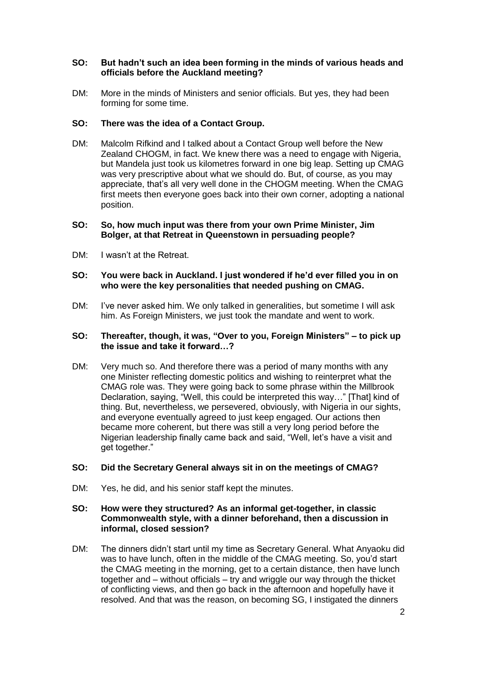### **SO: But hadn't such an idea been forming in the minds of various heads and officials before the Auckland meeting?**

DM: More in the minds of Ministers and senior officials. But yes, they had been forming for some time.

### **SO: There was the idea of a Contact Group.**

DM: Malcolm Rifkind and I talked about a Contact Group well before the New Zealand CHOGM, in fact. We knew there was a need to engage with Nigeria, but Mandela just took us kilometres forward in one big leap. Setting up CMAG was very prescriptive about what we should do. But, of course, as you may appreciate, that's all very well done in the CHOGM meeting. When the CMAG first meets then everyone goes back into their own corner, adopting a national position.

#### **SO: So, how much input was there from your own Prime Minister, Jim Bolger, at that Retreat in Queenstown in persuading people?**

DM: I wasn't at the Retreat.

#### **SO: You were back in Auckland. I just wondered if he'd ever filled you in on who were the key personalities that needed pushing on CMAG.**

DM: I've never asked him. We only talked in generalities, but sometime I will ask him. As Foreign Ministers, we just took the mandate and went to work.

### **SO: Thereafter, though, it was, "Over to you, Foreign Ministers" – to pick up the issue and take it forward…?**

DM: Very much so. And therefore there was a period of many months with any one Minister reflecting domestic politics and wishing to reinterpret what the CMAG role was. They were going back to some phrase within the Millbrook Declaration, saying, "Well, this could be interpreted this way…" [That] kind of thing. But, nevertheless, we persevered, obviously, with Nigeria in our sights, and everyone eventually agreed to just keep engaged. Our actions then became more coherent, but there was still a very long period before the Nigerian leadership finally came back and said, "Well, let's have a visit and get together."

#### **SO: Did the Secretary General always sit in on the meetings of CMAG?**

DM: Yes, he did, and his senior staff kept the minutes.

### **SO: How were they structured? As an informal get-together, in classic Commonwealth style, with a dinner beforehand, then a discussion in informal, closed session?**

DM: The dinners didn't start until my time as Secretary General. What Anyaoku did was to have lunch, often in the middle of the CMAG meeting. So, you'd start the CMAG meeting in the morning, get to a certain distance, then have lunch together and – without officials – try and wriggle our way through the thicket of conflicting views, and then go back in the afternoon and hopefully have it resolved. And that was the reason, on becoming SG, I instigated the dinners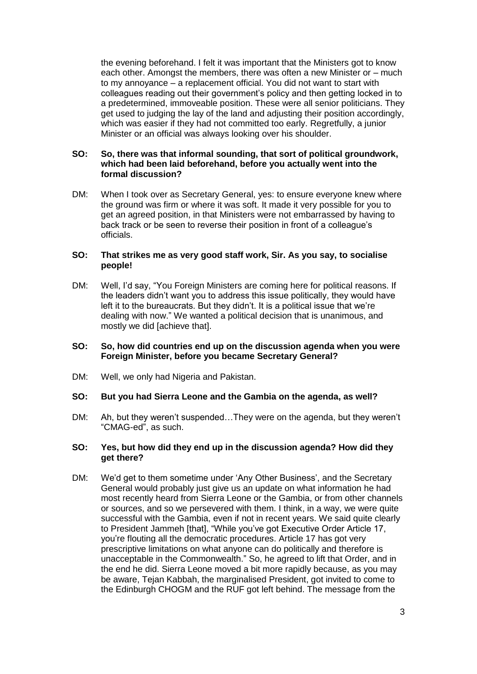the evening beforehand. I felt it was important that the Ministers got to know each other. Amongst the members, there was often a new Minister or – much to my annoyance – a replacement official. You did not want to start with colleagues reading out their government's policy and then getting locked in to a predetermined, immoveable position. These were all senior politicians. They get used to judging the lay of the land and adjusting their position accordingly, which was easier if they had not committed too early. Regretfully, a junior Minister or an official was always looking over his shoulder.

### **SO: So, there was that informal sounding, that sort of political groundwork, which had been laid beforehand, before you actually went into the formal discussion?**

DM: When I took over as Secretary General, yes: to ensure everyone knew where the ground was firm or where it was soft. It made it very possible for you to get an agreed position, in that Ministers were not embarrassed by having to back track or be seen to reverse their position in front of a colleague's officials.

#### **SO: That strikes me as very good staff work, Sir. As you say, to socialise people!**

DM: Well, I'd say, "You Foreign Ministers are coming here for political reasons. If the leaders didn't want you to address this issue politically, they would have left it to the bureaucrats. But they didn't. It is a political issue that we're dealing with now." We wanted a political decision that is unanimous, and mostly we did [achieve that].

#### **SO: So, how did countries end up on the discussion agenda when you were Foreign Minister, before you became Secretary General?**

DM: Well, we only had Nigeria and Pakistan.

#### **SO: But you had Sierra Leone and the Gambia on the agenda, as well?**

DM: Ah, but they weren't suspended…They were on the agenda, but they weren't "CMAG-ed", as such.

#### **SO: Yes, but how did they end up in the discussion agenda? How did they get there?**

DM: We'd get to them sometime under 'Any Other Business', and the Secretary General would probably just give us an update on what information he had most recently heard from Sierra Leone or the Gambia, or from other channels or sources, and so we persevered with them. I think, in a way, we were quite successful with the Gambia, even if not in recent years. We said quite clearly to President Jammeh [that], "While you've got Executive Order Article 17, you're flouting all the democratic procedures. Article 17 has got very prescriptive limitations on what anyone can do politically and therefore is unacceptable in the Commonwealth." So, he agreed to lift that Order, and in the end he did. Sierra Leone moved a bit more rapidly because, as you may be aware, Tejan Kabbah, the marginalised President, got invited to come to the Edinburgh CHOGM and the RUF got left behind. The message from the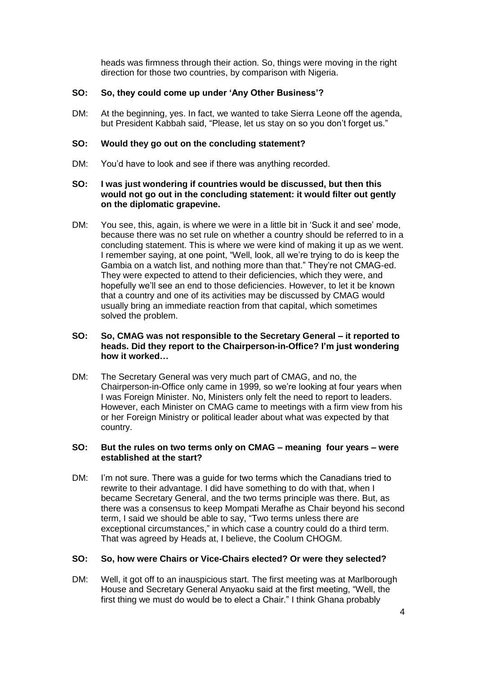heads was firmness through their action. So, things were moving in the right direction for those two countries, by comparison with Nigeria.

## **SO: So, they could come up under 'Any Other Business'?**

DM: At the beginning, yes. In fact, we wanted to take Sierra Leone off the agenda, but President Kabbah said, "Please, let us stay on so you don't forget us."

#### **SO: Would they go out on the concluding statement?**

DM: You'd have to look and see if there was anything recorded.

### **SO: I was just wondering if countries would be discussed, but then this would not go out in the concluding statement: it would filter out gently on the diplomatic grapevine.**

DM: You see, this, again, is where we were in a little bit in 'Suck it and see' mode, because there was no set rule on whether a country should be referred to in a concluding statement. This is where we were kind of making it up as we went. I remember saying, at one point, "Well, look, all we're trying to do is keep the Gambia on a watch list, and nothing more than that." They're not CMAG-ed. They were expected to attend to their deficiencies, which they were, and hopefully we'll see an end to those deficiencies. However, to let it be known that a country and one of its activities may be discussed by CMAG would usually bring an immediate reaction from that capital, which sometimes solved the problem.

### **SO: So, CMAG was not responsible to the Secretary General – it reported to heads. Did they report to the Chairperson-in-Office? I'm just wondering how it worked…**

DM: The Secretary General was very much part of CMAG, and no, the Chairperson-in-Office only came in 1999, so we're looking at four years when I was Foreign Minister. No, Ministers only felt the need to report to leaders. However, each Minister on CMAG came to meetings with a firm view from his or her Foreign Ministry or political leader about what was expected by that country.

#### **SO: But the rules on two terms only on CMAG – meaning four years – were established at the start?**

DM: I'm not sure. There was a guide for two terms which the Canadians tried to rewrite to their advantage. I did have something to do with that, when I became Secretary General, and the two terms principle was there. But, as there was a consensus to keep Mompati Merafhe as Chair beyond his second term, I said we should be able to say, "Two terms unless there are exceptional circumstances," in which case a country could do a third term. That was agreed by Heads at, I believe, the Coolum CHOGM.

## **SO: So, how were Chairs or Vice-Chairs elected? Or were they selected?**

DM: Well, it got off to an inauspicious start. The first meeting was at Marlborough House and Secretary General Anyaoku said at the first meeting, "Well, the first thing we must do would be to elect a Chair." I think Ghana probably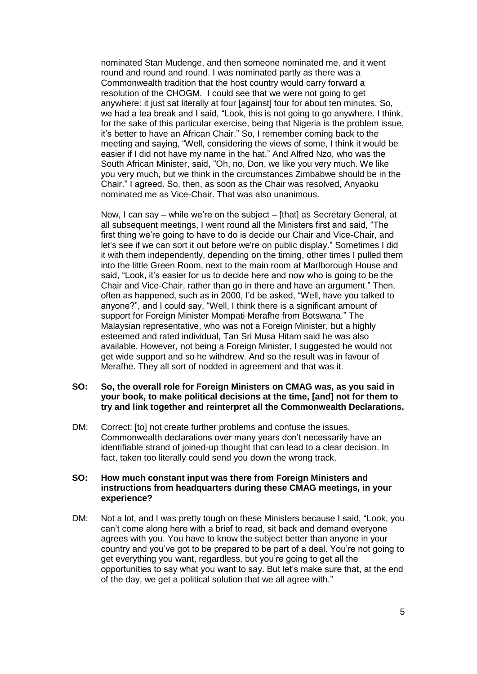nominated Stan Mudenge, and then someone nominated me, and it went round and round and round. I was nominated partly as there was a Commonwealth tradition that the host country would carry forward a resolution of the CHOGM. I could see that we were not going to get anywhere: it just sat literally at four [against] four for about ten minutes. So, we had a tea break and I said, "Look, this is not going to go anywhere. I think, for the sake of this particular exercise, being that Nigeria is the problem issue, it's better to have an African Chair." So, I remember coming back to the meeting and saying, "Well, considering the views of some, I think it would be easier if I did not have my name in the hat." And Alfred Nzo, who was the South African Minister, said, "Oh, no, Don, we like you very much. We like you very much, but we think in the circumstances Zimbabwe should be in the Chair." I agreed. So, then, as soon as the Chair was resolved, Anyaoku nominated me as Vice-Chair. That was also unanimous.

Now, I can say – while we're on the subject – [that] as Secretary General, at all subsequent meetings, I went round all the Ministers first and said, "The first thing we're going to have to do is decide our Chair and Vice-Chair, and let's see if we can sort it out before we're on public display." Sometimes I did it with them independently, depending on the timing, other times I pulled them into the little Green Room, next to the main room at Marlborough House and said, "Look, it's easier for us to decide here and now who is going to be the Chair and Vice-Chair, rather than go in there and have an argument." Then, often as happened, such as in 2000, I'd be asked, "Well, have you talked to anyone?", and I could say, "Well, I think there is a significant amount of support for Foreign Minister Mompati Merafhe from Botswana." The Malaysian representative, who was not a Foreign Minister, but a highly esteemed and rated individual, Tan Sri Musa Hitam said he was also available. However, not being a Foreign Minister, I suggested he would not get wide support and so he withdrew. And so the result was in favour of Merafhe. They all sort of nodded in agreement and that was it.

### **SO: So, the overall role for Foreign Ministers on CMAG was, as you said in your book, to make political decisions at the time, [and] not for them to try and link together and reinterpret all the Commonwealth Declarations.**

DM: Correct: [to] not create further problems and confuse the issues. Commonwealth declarations over many years don't necessarily have an identifiable strand of joined-up thought that can lead to a clear decision. In fact, taken too literally could send you down the wrong track.

### **SO: How much constant input was there from Foreign Ministers and instructions from headquarters during these CMAG meetings, in your experience?**

DM: Not a lot, and I was pretty tough on these Ministers because I said, "Look, you can't come along here with a brief to read, sit back and demand everyone agrees with you. You have to know the subject better than anyone in your country and you've got to be prepared to be part of a deal. You're not going to get everything you want, regardless, but you're going to get all the opportunities to say what you want to say. But let's make sure that, at the end of the day, we get a political solution that we all agree with."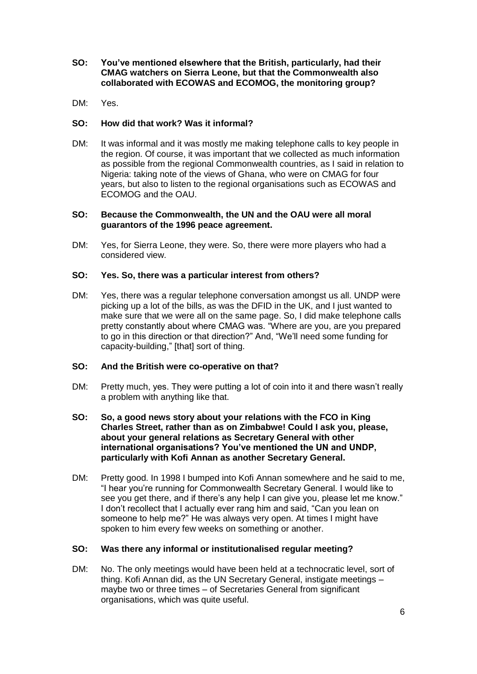- **SO: You've mentioned elsewhere that the British, particularly, had their CMAG watchers on Sierra Leone, but that the Commonwealth also collaborated with ECOWAS and ECOMOG, the monitoring group?**
- DM: Yes.

### **SO: How did that work? Was it informal?**

DM: It was informal and it was mostly me making telephone calls to key people in the region. Of course, it was important that we collected as much information as possible from the regional Commonwealth countries, as I said in relation to Nigeria: taking note of the views of Ghana, who were on CMAG for four years, but also to listen to the regional organisations such as ECOWAS and ECOMOG and the OAU.

### **SO: Because the Commonwealth, the UN and the OAU were all moral guarantors of the 1996 peace agreement.**

DM: Yes, for Sierra Leone, they were. So, there were more players who had a considered view.

#### **SO: Yes. So, there was a particular interest from others?**

DM: Yes, there was a regular telephone conversation amongst us all. UNDP were picking up a lot of the bills, as was the DFID in the UK, and I just wanted to make sure that we were all on the same page. So, I did make telephone calls pretty constantly about where CMAG was. "Where are you, are you prepared to go in this direction or that direction?" And, "We'll need some funding for capacity-building," [that] sort of thing.

#### **SO: And the British were co-operative on that?**

- DM: Pretty much, yes. They were putting a lot of coin into it and there wasn't really a problem with anything like that.
- **SO: So, a good news story about your relations with the FCO in King Charles Street, rather than as on Zimbabwe! Could I ask you, please, about your general relations as Secretary General with other international organisations? You've mentioned the UN and UNDP, particularly with Kofi Annan as another Secretary General.**
- DM: Pretty good. In 1998 I bumped into Kofi Annan somewhere and he said to me, "I hear you're running for Commonwealth Secretary General. I would like to see you get there, and if there's any help I can give you, please let me know." I don't recollect that I actually ever rang him and said, "Can you lean on someone to help me?" He was always very open. At times I might have spoken to him every few weeks on something or another.

#### **SO: Was there any informal or institutionalised regular meeting?**

DM: No. The only meetings would have been held at a technocratic level, sort of thing. Kofi Annan did, as the UN Secretary General, instigate meetings – maybe two or three times – of Secretaries General from significant organisations, which was quite useful.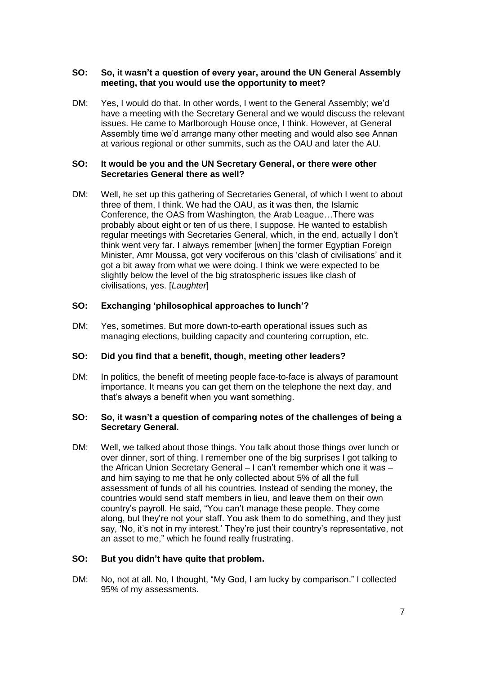## **SO: So, it wasn't a question of every year, around the UN General Assembly meeting, that you would use the opportunity to meet?**

DM: Yes, I would do that. In other words, I went to the General Assembly; we'd have a meeting with the Secretary General and we would discuss the relevant issues. He came to Marlborough House once, I think. However, at General Assembly time we'd arrange many other meeting and would also see Annan at various regional or other summits, such as the OAU and later the AU.

### **SO: It would be you and the UN Secretary General, or there were other Secretaries General there as well?**

DM: Well, he set up this gathering of Secretaries General, of which I went to about three of them, I think. We had the OAU, as it was then, the Islamic Conference, the OAS from Washington, the Arab League…There was probably about eight or ten of us there, I suppose. He wanted to establish regular meetings with Secretaries General, which, in the end, actually I don't think went very far. I always remember [when] the former Egyptian Foreign Minister, Amr Moussa, got very vociferous on this 'clash of civilisations' and it got a bit away from what we were doing. I think we were expected to be slightly below the level of the big stratospheric issues like clash of civilisations, yes. [*Laughter*]

## **SO: Exchanging 'philosophical approaches to lunch'?**

DM: Yes, sometimes. But more down-to-earth operational issues such as managing elections, building capacity and countering corruption, etc.

## **SO: Did you find that a benefit, though, meeting other leaders?**

DM: In politics, the benefit of meeting people face-to-face is always of paramount importance. It means you can get them on the telephone the next day, and that's always a benefit when you want something.

### **SO: So, it wasn't a question of comparing notes of the challenges of being a Secretary General.**

DM: Well, we talked about those things. You talk about those things over lunch or over dinner, sort of thing. I remember one of the big surprises I got talking to the African Union Secretary General – I can't remember which one it was – and him saying to me that he only collected about 5% of all the full assessment of funds of all his countries. Instead of sending the money, the countries would send staff members in lieu, and leave them on their own country's payroll. He said, "You can't manage these people. They come along, but they're not your staff. You ask them to do something, and they just say, 'No, it's not in my interest.' They're just their country's representative, not an asset to me," which he found really frustrating.

#### **SO: But you didn't have quite that problem.**

DM: No, not at all. No, I thought, "My God, I am lucky by comparison." I collected 95% of my assessments.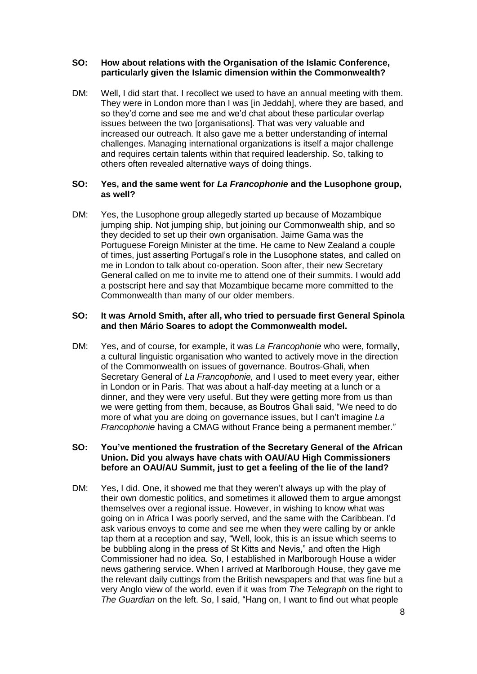### **SO: How about relations with the Organisation of the Islamic Conference, particularly given the Islamic dimension within the Commonwealth?**

DM: Well, I did start that. I recollect we used to have an annual meeting with them. They were in London more than I was [in Jeddah], where they are based, and so they'd come and see me and we'd chat about these particular overlap issues between the two [organisations]. That was very valuable and increased our outreach. It also gave me a better understanding of internal challenges. Managing international organizations is itself a major challenge and requires certain talents within that required leadership. So, talking to others often revealed alternative ways of doing things.

### **SO: Yes, and the same went for** *La Francophonie* **and the Lusophone group, as well?**

DM: Yes, the Lusophone group allegedly started up because of Mozambique jumping ship. Not jumping ship, but joining our Commonwealth ship, and so they decided to set up their own organisation. Jaime Gama was the Portuguese Foreign Minister at the time. He came to New Zealand a couple of times, just asserting Portugal's role in the Lusophone states, and called on me in London to talk about co-operation. Soon after, their new Secretary General called on me to invite me to attend one of their summits. I would add a postscript here and say that Mozambique became more committed to the Commonwealth than many of our older members.

### **SO: It was Arnold Smith, after all, who tried to persuade first General Spinola and then Mário Soares to adopt the Commonwealth model.**

DM: Yes, and of course, for example, it was *La Francophonie* who were, formally, a cultural linguistic organisation who wanted to actively move in the direction of the Commonwealth on issues of governance. Boutros-Ghali, when Secretary General of *La Francophonie,* and I used to meet every year, either in London or in Paris. That was about a half-day meeting at a lunch or a dinner, and they were very useful. But they were getting more from us than we were getting from them, because, as Boutros Ghali said, "We need to do more of what you are doing on governance issues, but I can't imagine *La Francophonie* having a CMAG without France being a permanent member."

### **SO: You've mentioned the frustration of the Secretary General of the African Union. Did you always have chats with OAU/AU High Commissioners before an OAU/AU Summit, just to get a feeling of the lie of the land?**

DM: Yes, I did. One, it showed me that they weren't always up with the play of their own domestic politics, and sometimes it allowed them to argue amongst themselves over a regional issue. However, in wishing to know what was going on in Africa I was poorly served, and the same with the Caribbean. I'd ask various envoys to come and see me when they were calling by or ankle tap them at a reception and say, "Well, look, this is an issue which seems to be bubbling along in the press of St Kitts and Nevis," and often the High Commissioner had no idea. So, I established in Marlborough House a wider news gathering service. When I arrived at Marlborough House, they gave me the relevant daily cuttings from the British newspapers and that was fine but a very Anglo view of the world, even if it was from *The Telegraph* on the right to *The Guardian* on the left. So, I said, "Hang on, I want to find out what people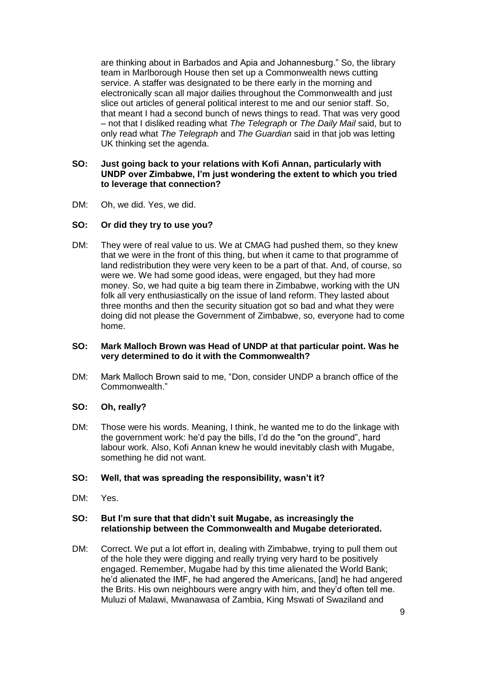are thinking about in Barbados and Apia and Johannesburg." So, the library team in Marlborough House then set up a Commonwealth news cutting service. A staffer was designated to be there early in the morning and electronically scan all major dailies throughout the Commonwealth and just slice out articles of general political interest to me and our senior staff. So, that meant I had a second bunch of news things to read. That was very good – not that I disliked reading what *The Telegraph* or *The Daily Mail* said, but to only read what *The Telegraph* and *The Guardian* said in that job was letting UK thinking set the agenda.

### **SO: Just going back to your relations with Kofi Annan, particularly with UNDP over Zimbabwe, I'm just wondering the extent to which you tried to leverage that connection?**

DM: Oh, we did. Yes, we did.

## **SO: Or did they try to use you?**

DM: They were of real value to us. We at CMAG had pushed them, so they knew that we were in the front of this thing, but when it came to that programme of land redistribution they were very keen to be a part of that. And, of course, so were we. We had some good ideas, were engaged, but they had more money. So, we had quite a big team there in Zimbabwe, working with the UN folk all very enthusiastically on the issue of land reform. They lasted about three months and then the security situation got so bad and what they were doing did not please the Government of Zimbabwe, so, everyone had to come home.

### **SO: Mark Malloch Brown was Head of UNDP at that particular point. Was he very determined to do it with the Commonwealth?**

DM: Mark Malloch Brown said to me, "Don, consider UNDP a branch office of the Commonwealth."

#### **SO: Oh, really?**

DM: Those were his words. Meaning, I think, he wanted me to do the linkage with the government work: he'd pay the bills, I'd do the "on the ground", hard labour work. Also, Kofi Annan knew he would inevitably clash with Mugabe, something he did not want.

### **SO: Well, that was spreading the responsibility, wasn't it?**

DM: Yes.

### **SO: But I'm sure that that didn't suit Mugabe, as increasingly the relationship between the Commonwealth and Mugabe deteriorated.**

DM: Correct. We put a lot effort in, dealing with Zimbabwe, trying to pull them out of the hole they were digging and really trying very hard to be positively engaged. Remember, Mugabe had by this time alienated the World Bank; he'd alienated the IMF, he had angered the Americans, [and] he had angered the Brits. His own neighbours were angry with him, and they'd often tell me. Muluzi of Malawi, Mwanawasa of Zambia, King Mswati of Swaziland and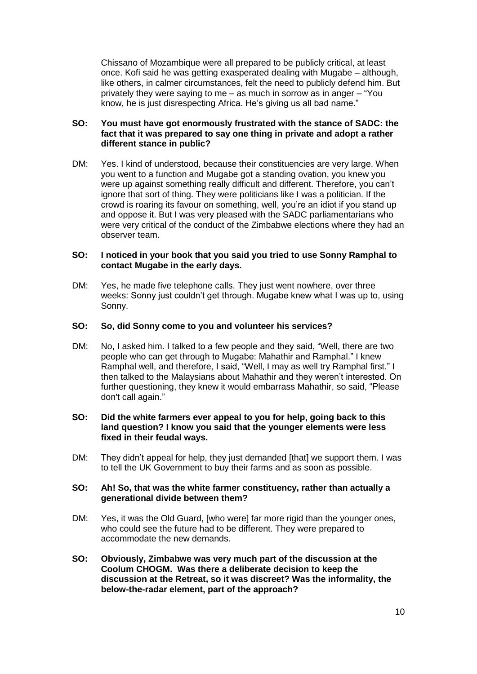Chissano of Mozambique were all prepared to be publicly critical, at least once. Kofi said he was getting exasperated dealing with Mugabe – although, like others, in calmer circumstances, felt the need to publicly defend him. But privately they were saying to me – as much in sorrow as in anger – "You know, he is just disrespecting Africa. He's giving us all bad name."

### **SO: You must have got enormously frustrated with the stance of SADC: the fact that it was prepared to say one thing in private and adopt a rather different stance in public?**

DM: Yes. I kind of understood, because their constituencies are very large. When you went to a function and Mugabe got a standing ovation, you knew you were up against something really difficult and different. Therefore, you can't ignore that sort of thing. They were politicians like I was a politician. If the crowd is roaring its favour on something, well, you're an idiot if you stand up and oppose it. But I was very pleased with the SADC parliamentarians who were very critical of the conduct of the Zimbabwe elections where they had an observer team.

### **SO: I noticed in your book that you said you tried to use Sonny Ramphal to contact Mugabe in the early days.**

DM: Yes, he made five telephone calls. They just went nowhere, over three weeks: Sonny just couldn't get through. Mugabe knew what I was up to, using Sonny.

### **SO: So, did Sonny come to you and volunteer his services?**

DM: No, I asked him. I talked to a few people and they said, "Well, there are two people who can get through to Mugabe: Mahathir and Ramphal." I knew Ramphal well, and therefore, I said, "Well, I may as well try Ramphal first." I then talked to the Malaysians about Mahathir and they weren't interested. On further questioning, they knew it would embarrass Mahathir, so said, "Please don't call again."

### **SO: Did the white farmers ever appeal to you for help, going back to this land question? I know you said that the younger elements were less fixed in their feudal ways.**

DM: They didn't appeal for help, they just demanded [that] we support them. I was to tell the UK Government to buy their farms and as soon as possible.

#### **SO: Ah! So, that was the white farmer constituency, rather than actually a generational divide between them?**

- DM: Yes, it was the Old Guard, [who were] far more rigid than the younger ones, who could see the future had to be different. They were prepared to accommodate the new demands.
- **SO: Obviously, Zimbabwe was very much part of the discussion at the Coolum CHOGM. Was there a deliberate decision to keep the discussion at the Retreat, so it was discreet? Was the informality, the below-the-radar element, part of the approach?**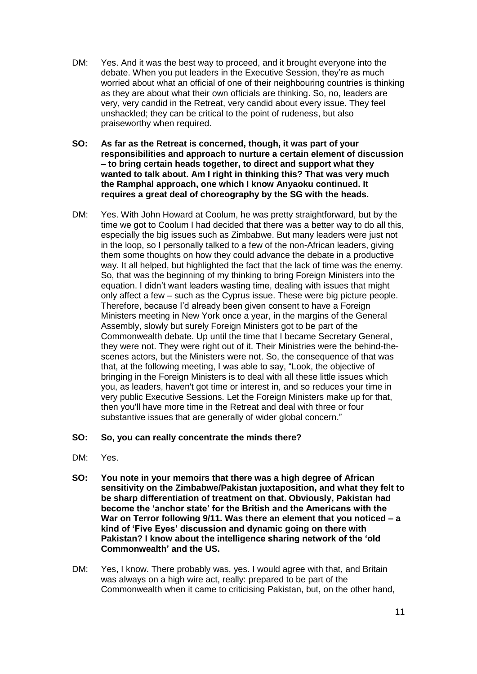- DM: Yes. And it was the best way to proceed, and it brought everyone into the debate. When you put leaders in the Executive Session, they're as much worried about what an official of one of their neighbouring countries is thinking as they are about what their own officials are thinking. So, no, leaders are very, very candid in the Retreat, very candid about every issue. They feel unshackled; they can be critical to the point of rudeness, but also praiseworthy when required.
- **SO: As far as the Retreat is concerned, though, it was part of your responsibilities and approach to nurture a certain element of discussion – to bring certain heads together, to direct and support what they wanted to talk about. Am I right in thinking this? That was very much the Ramphal approach, one which I know Anyaoku continued. It requires a great deal of choreography by the SG with the heads.**
- DM: Yes. With John Howard at Coolum, he was pretty straightforward, but by the time we got to Coolum I had decided that there was a better way to do all this, especially the big issues such as Zimbabwe. But many leaders were just not in the loop, so I personally talked to a few of the non-African leaders, giving them some thoughts on how they could advance the debate in a productive way. It all helped, but highlighted the fact that the lack of time was the enemy. So, that was the beginning of my thinking to bring Foreign Ministers into the equation. I didn't want leaders wasting time, dealing with issues that might only affect a few – such as the Cyprus issue. These were big picture people. Therefore, because I'd already been given consent to have a Foreign Ministers meeting in New York once a year, in the margins of the General Assembly, slowly but surely Foreign Ministers got to be part of the Commonwealth debate. Up until the time that I became Secretary General, they were not. They were right out of it. Their Ministries were the behind-thescenes actors, but the Ministers were not. So, the consequence of that was that, at the following meeting, I was able to say, "Look, the objective of bringing in the Foreign Ministers is to deal with all these little issues which you, as leaders, haven't got time or interest in, and so reduces your time in very public Executive Sessions. Let the Foreign Ministers make up for that, then you'll have more time in the Retreat and deal with three or four substantive issues that are generally of wider global concern."
- **SO: So, you can really concentrate the minds there?**
- DM: Yes.
- **SO: You note in your memoirs that there was a high degree of African sensitivity on the Zimbabwe/Pakistan juxtaposition, and what they felt to be sharp differentiation of treatment on that. Obviously, Pakistan had become the 'anchor state' for the British and the Americans with the War on Terror following 9/11. Was there an element that you noticed – a kind of 'Five Eyes' discussion and dynamic going on there with Pakistan? I know about the intelligence sharing network of the 'old Commonwealth' and the US.**
- DM: Yes, I know. There probably was, yes. I would agree with that, and Britain was always on a high wire act, really: prepared to be part of the Commonwealth when it came to criticising Pakistan, but, on the other hand,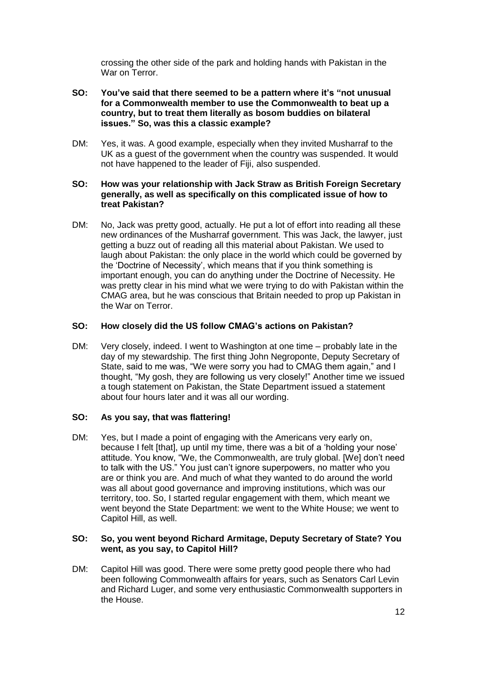crossing the other side of the park and holding hands with Pakistan in the War on Terror

- **SO: You've said that there seemed to be a pattern where it's "not unusual for a Commonwealth member to use the Commonwealth to beat up a country, but to treat them literally as bosom buddies on bilateral issues." So, was this a classic example?**
- DM: Yes, it was. A good example, especially when they invited Musharraf to the UK as a guest of the government when the country was suspended. It would not have happened to the leader of Fiji, also suspended.

### **SO: How was your relationship with Jack Straw as British Foreign Secretary generally, as well as specifically on this complicated issue of how to treat Pakistan?**

DM: No, Jack was pretty good, actually. He put a lot of effort into reading all these new ordinances of the Musharraf government. This was Jack, the lawyer, just getting a buzz out of reading all this material about Pakistan. We used to laugh about Pakistan: the only place in the world which could be governed by the 'Doctrine of Necessity', which means that if you think something is important enough, you can do anything under the Doctrine of Necessity. He was pretty clear in his mind what we were trying to do with Pakistan within the CMAG area, but he was conscious that Britain needed to prop up Pakistan in the War on Terror.

## **SO: How closely did the US follow CMAG's actions on Pakistan?**

DM: Very closely, indeed. I went to Washington at one time – probably late in the day of my stewardship. The first thing John Negroponte, Deputy Secretary of State, said to me was, "We were sorry you had to CMAG them again," and I thought, "My gosh, they are following us very closely!" Another time we issued a tough statement on Pakistan, the State Department issued a statement about four hours later and it was all our wording.

## **SO: As you say, that was flattering!**

DM: Yes, but I made a point of engaging with the Americans very early on, because I felt [that], up until my time, there was a bit of a 'holding your nose' attitude. You know, "We, the Commonwealth, are truly global. [We] don't need to talk with the US." You just can't ignore superpowers, no matter who you are or think you are. And much of what they wanted to do around the world was all about good governance and improving institutions, which was our territory, too. So, I started regular engagement with them, which meant we went beyond the State Department: we went to the White House; we went to Capitol Hill, as well.

## **SO: So, you went beyond Richard Armitage, Deputy Secretary of State? You went, as you say, to Capitol Hill?**

DM: Capitol Hill was good. There were some pretty good people there who had been following Commonwealth affairs for years, such as Senators Carl Levin and Richard Luger, and some very enthusiastic Commonwealth supporters in the House.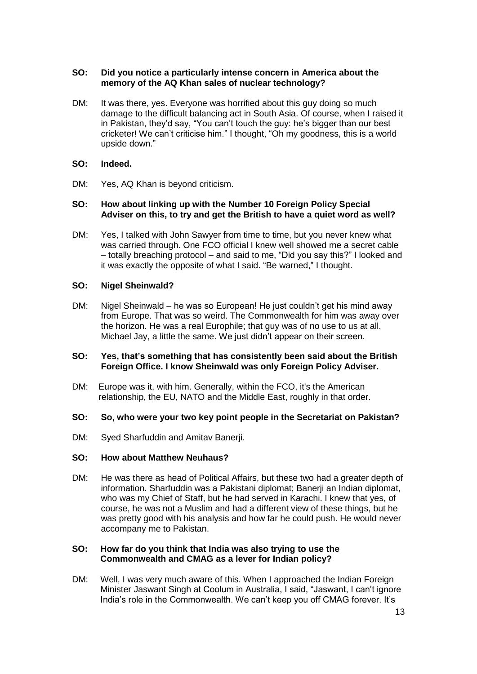## **SO: Did you notice a particularly intense concern in America about the memory of the AQ Khan sales of nuclear technology?**

DM: It was there, yes. Everyone was horrified about this guy doing so much damage to the difficult balancing act in South Asia. Of course, when I raised it in Pakistan, they'd say, "You can't touch the guy: he's bigger than our best cricketer! We can't criticise him." I thought, "Oh my goodness, this is a world upside down."

### **SO: Indeed.**

DM: Yes, AQ Khan is beyond criticism.

### **SO: How about linking up with the Number 10 Foreign Policy Special Adviser on this, to try and get the British to have a quiet word as well?**

DM: Yes, I talked with John Sawyer from time to time, but you never knew what was carried through. One FCO official I knew well showed me a secret cable – totally breaching protocol – and said to me, "Did you say this?" I looked and it was exactly the opposite of what I said. "Be warned," I thought.

### **SO: Nigel Sheinwald?**

DM: Nigel Sheinwald – he was so European! He just couldn't get his mind away from Europe. That was so weird. The Commonwealth for him was away over the horizon. He was a real Europhile; that guy was of no use to us at all. Michael Jay, a little the same. We just didn't appear on their screen.

### **SO: Yes, that's something that has consistently been said about the British Foreign Office. I know Sheinwald was only Foreign Policy Adviser.**

DM: Europe was it, with him. Generally, within the FCO, it's the American relationship, the EU, NATO and the Middle East, roughly in that order.

## **SO: So, who were your two key point people in the Secretariat on Pakistan?**

DM: Syed Sharfuddin and Amitav Banerji.

#### **SO: How about Matthew Neuhaus?**

DM: He was there as head of Political Affairs, but these two had a greater depth of information. Sharfuddin was a Pakistani diplomat; Banerji an Indian diplomat, who was my Chief of Staff, but he had served in Karachi. I knew that yes, of course, he was not a Muslim and had a different view of these things, but he was pretty good with his analysis and how far he could push. He would never accompany me to Pakistan.

#### **SO: How far do you think that India was also trying to use the Commonwealth and CMAG as a lever for Indian policy?**

DM: Well, I was very much aware of this. When I approached the Indian Foreign Minister Jaswant Singh at Coolum in Australia, I said, "Jaswant, I can't ignore India's role in the Commonwealth. We can't keep you off CMAG forever. It's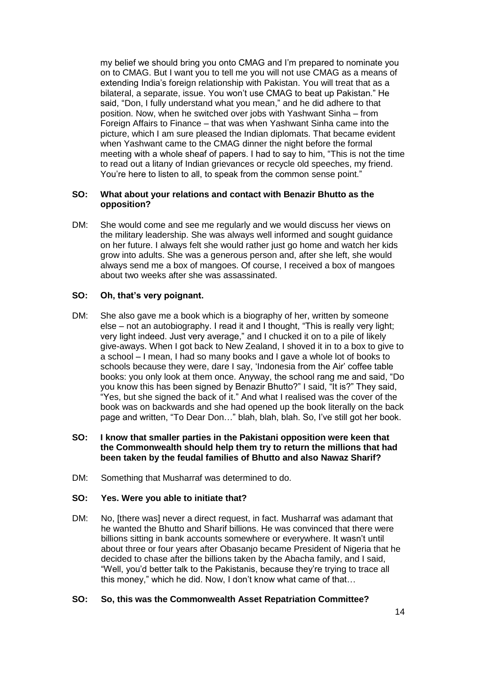my belief we should bring you onto CMAG and I'm prepared to nominate you on to CMAG. But I want you to tell me you will not use CMAG as a means of extending India's foreign relationship with Pakistan. You will treat that as a bilateral, a separate, issue. You won't use CMAG to beat up Pakistan." He said, "Don, I fully understand what you mean," and he did adhere to that position. Now, when he switched over jobs with Yashwant Sinha – from Foreign Affairs to Finance – that was when Yashwant Sinha came into the picture, which I am sure pleased the Indian diplomats. That became evident when Yashwant came to the CMAG dinner the night before the formal meeting with a whole sheaf of papers. I had to say to him, "This is not the time to read out a litany of Indian grievances or recycle old speeches, my friend. You're here to listen to all, to speak from the common sense point."

### **SO: What about your relations and contact with Benazir Bhutto as the opposition?**

DM: She would come and see me regularly and we would discuss her views on the military leadership. She was always well informed and sought guidance on her future. I always felt she would rather just go home and watch her kids grow into adults. She was a generous person and, after she left, she would always send me a box of mangoes. Of course, I received a box of mangoes about two weeks after she was assassinated.

## **SO: Oh, that's very poignant.**

DM: She also gave me a book which is a biography of her, written by someone else – not an autobiography. I read it and I thought, "This is really very light; very light indeed. Just very average," and I chucked it on to a pile of likely give-aways. When I got back to New Zealand, I shoved it in to a box to give to a school – I mean, I had so many books and I gave a whole lot of books to schools because they were, dare I say, 'Indonesia from the Air' coffee table books: you only look at them once. Anyway, the school rang me and said, "Do you know this has been signed by Benazir Bhutto?" I said, "It is?" They said, "Yes, but she signed the back of it." And what I realised was the cover of the book was on backwards and she had opened up the book literally on the back page and written, "To Dear Don…" blah, blah, blah. So, I've still got her book.

## **SO: I know that smaller parties in the Pakistani opposition were keen that the Commonwealth should help them try to return the millions that had been taken by the feudal families of Bhutto and also Nawaz Sharif?**

DM: Something that Musharraf was determined to do.

## **SO: Yes. Were you able to initiate that?**

DM: No, [there was] never a direct request, in fact. Musharraf was adamant that he wanted the Bhutto and Sharif billions. He was convinced that there were billions sitting in bank accounts somewhere or everywhere. It wasn't until about three or four years after Obasanjo became President of Nigeria that he decided to chase after the billions taken by the Abacha family, and I said, "Well, you'd better talk to the Pakistanis, because they're trying to trace all this money," which he did. Now, I don't know what came of that…

## **SO: So, this was the Commonwealth Asset Repatriation Committee?**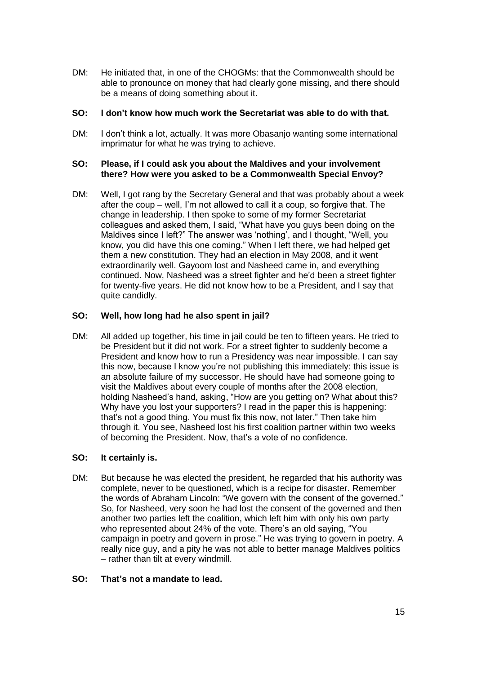DM: He initiated that, in one of the CHOGMs: that the Commonwealth should be able to pronounce on money that had clearly gone missing, and there should be a means of doing something about it.

### **SO: I don't know how much work the Secretariat was able to do with that.**

DM: I don't think a lot, actually. It was more Obasanjo wanting some international imprimatur for what he was trying to achieve.

### **SO: Please, if I could ask you about the Maldives and your involvement there? How were you asked to be a Commonwealth Special Envoy?**

DM: Well, I got rang by the Secretary General and that was probably about a week after the coup – well, I'm not allowed to call it a coup, so forgive that. The change in leadership. I then spoke to some of my former Secretariat colleagues and asked them, I said, "What have you guys been doing on the Maldives since I left?" The answer was 'nothing', and I thought, "Well, you know, you did have this one coming." When I left there, we had helped get them a new constitution. They had an election in May 2008, and it went extraordinarily well. Gayoom lost and Nasheed came in, and everything continued. Now, Nasheed was a street fighter and he'd been a street fighter for twenty-five years. He did not know how to be a President, and I say that quite candidly.

## **SO: Well, how long had he also spent in jail?**

DM: All added up together, his time in jail could be ten to fifteen years. He tried to be President but it did not work. For a street fighter to suddenly become a President and know how to run a Presidency was near impossible. I can say this now, because I know you're not publishing this immediately: this issue is an absolute failure of my successor. He should have had someone going to visit the Maldives about every couple of months after the 2008 election, holding Nasheed's hand, asking, "How are you getting on? What about this? Why have you lost your supporters? I read in the paper this is happening: that's not a good thing. You must fix this now, not later." Then take him through it. You see, Nasheed lost his first coalition partner within two weeks of becoming the President. Now, that's a vote of no confidence.

## **SO: It certainly is.**

DM: But because he was elected the president, he regarded that his authority was complete, never to be questioned, which is a recipe for disaster. Remember the words of Abraham Lincoln: "We govern with the consent of the governed." So, for Nasheed, very soon he had lost the consent of the governed and then another two parties left the coalition, which left him with only his own party who represented about 24% of the vote. There's an old saying, "You campaign in poetry and govern in prose." He was trying to govern in poetry. A really nice guy, and a pity he was not able to better manage Maldives politics – rather than tilt at every windmill.

## **SO: That's not a mandate to lead.**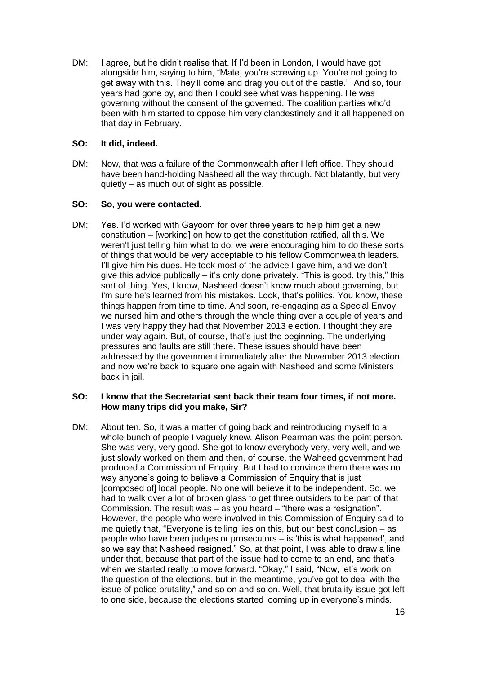DM: I agree, but he didn't realise that. If I'd been in London, I would have got alongside him, saying to him, "Mate, you're screwing up. You're not going to get away with this. They'll come and drag you out of the castle." And so, four years had gone by, and then I could see what was happening. He was governing without the consent of the governed. The coalition parties who'd been with him started to oppose him very clandestinely and it all happened on that day in February.

## **SO: It did, indeed.**

DM: Now, that was a failure of the Commonwealth after I left office. They should have been hand-holding Nasheed all the way through. Not blatantly, but very quietly – as much out of sight as possible.

## **SO: So, you were contacted.**

DM: Yes. I'd worked with Gayoom for over three years to help him get a new constitution – [working] on how to get the constitution ratified, all this. We weren't just telling him what to do: we were encouraging him to do these sorts of things that would be very acceptable to his fellow Commonwealth leaders. I'll give him his dues. He took most of the advice I gave him, and we don't give this advice publically  $-$  it's only done privately. "This is good, try this," this sort of thing. Yes, I know, Nasheed doesn't know much about governing, but I'm sure he's learned from his mistakes. Look, that's politics. You know, these things happen from time to time. And soon, re-engaging as a Special Envoy, we nursed him and others through the whole thing over a couple of years and I was very happy they had that November 2013 election. I thought they are under way again. But, of course, that's just the beginning. The underlying pressures and faults are still there. These issues should have been addressed by the government immediately after the November 2013 election, and now we're back to square one again with Nasheed and some Ministers back in jail.

### **SO: I know that the Secretariat sent back their team four times, if not more. How many trips did you make, Sir?**

DM: About ten. So, it was a matter of going back and reintroducing myself to a whole bunch of people I vaguely knew. Alison Pearman was the point person. She was very, very good. She got to know everybody very, very well, and we just slowly worked on them and then, of course, the Waheed government had produced a Commission of Enquiry. But I had to convince them there was no way anyone's going to believe a Commission of Enquiry that is just [composed of] local people. No one will believe it to be independent. So, we had to walk over a lot of broken glass to get three outsiders to be part of that Commission. The result was – as you heard – "there was a resignation". However, the people who were involved in this Commission of Enquiry said to me quietly that, "Everyone is telling lies on this, but our best conclusion – as people who have been judges or prosecutors – is 'this is what happened', and so we say that Nasheed resigned." So, at that point, I was able to draw a line under that, because that part of the issue had to come to an end, and that's when we started really to move forward. "Okay," I said, "Now, let's work on the question of the elections, but in the meantime, you've got to deal with the issue of police brutality," and so on and so on. Well, that brutality issue got left to one side, because the elections started looming up in everyone's minds.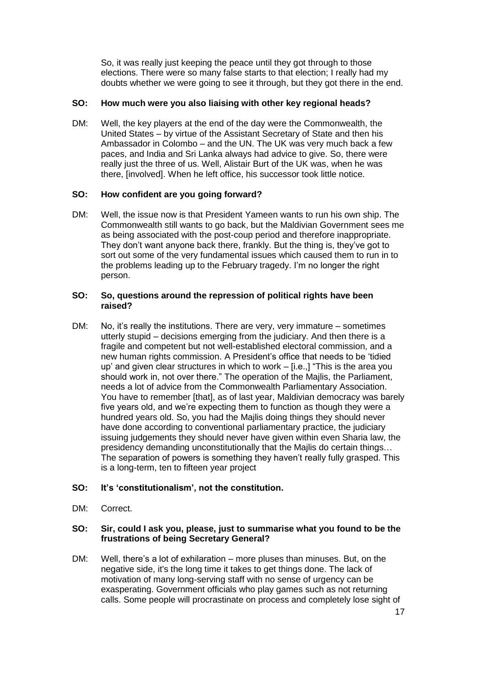So, it was really just keeping the peace until they got through to those elections. There were so many false starts to that election; I really had my doubts whether we were going to see it through, but they got there in the end.

### **SO: How much were you also liaising with other key regional heads?**

DM: Well, the key players at the end of the day were the Commonwealth, the United States – by virtue of the Assistant Secretary of State and then his Ambassador in Colombo – and the UN. The UK was very much back a few paces, and India and Sri Lanka always had advice to give. So, there were really just the three of us. Well, Alistair Burt of the UK was, when he was there, [involved]. When he left office, his successor took little notice.

### **SO: How confident are you going forward?**

DM: Well, the issue now is that President Yameen wants to run his own ship. The Commonwealth still wants to go back, but the Maldivian Government sees me as being associated with the post-coup period and therefore inappropriate. They don't want anyone back there, frankly. But the thing is, they've got to sort out some of the very fundamental issues which caused them to run in to the problems leading up to the February tragedy. I'm no longer the right person.

#### **SO: So, questions around the repression of political rights have been raised?**

DM: No, it's really the institutions. There are very, very immature – sometimes utterly stupid – decisions emerging from the judiciary. And then there is a fragile and competent but not well-established electoral commission, and a new human rights commission. A President's office that needs to be 'tidied up' and given clear structures in which to work – [i.e.,] "This is the area you should work in, not over there." The operation of the Majlis, the Parliament, needs a lot of advice from the Commonwealth Parliamentary Association. You have to remember [that], as of last year, Maldivian democracy was barely five years old, and we're expecting them to function as though they were a hundred years old. So, you had the Majlis doing things they should never have done according to conventional parliamentary practice, the judiciary issuing judgements they should never have given within even Sharia law, the presidency demanding unconstitutionally that the Majlis do certain things… The separation of powers is something they haven't really fully grasped. This is a long-term, ten to fifteen year project

## **SO: It's 'constitutionalism', not the constitution.**

DM: Correct.

### **SO: Sir, could I ask you, please, just to summarise what you found to be the frustrations of being Secretary General?**

DM: Well, there's a lot of exhilaration – more pluses than minuses. But, on the negative side, it's the long time it takes to get things done. The lack of motivation of many long-serving staff with no sense of urgency can be exasperating. Government officials who play games such as not returning calls. Some people will procrastinate on process and completely lose sight of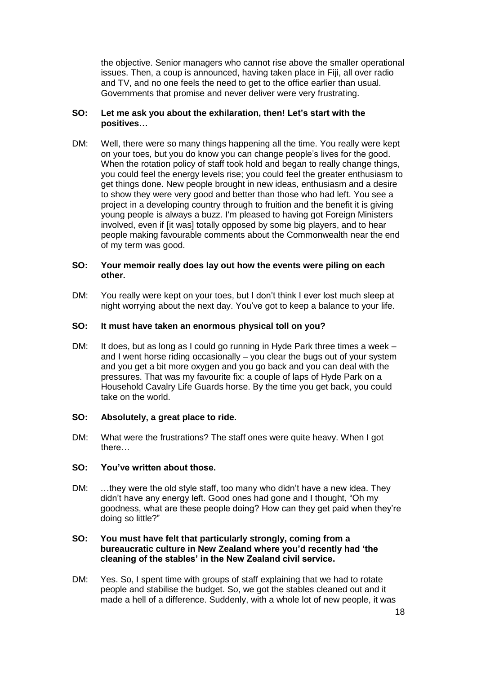the objective. Senior managers who cannot rise above the smaller operational issues. Then, a coup is announced, having taken place in Fiji, all over radio and TV, and no one feels the need to get to the office earlier than usual. Governments that promise and never deliver were very frustrating.

## **SO: Let me ask you about the exhilaration, then! Let's start with the positives…**

DM: Well, there were so many things happening all the time. You really were kept on your toes, but you do know you can change people's lives for the good. When the rotation policy of staff took hold and began to really change things, you could feel the energy levels rise; you could feel the greater enthusiasm to get things done. New people brought in new ideas, enthusiasm and a desire to show they were very good and better than those who had left. You see a project in a developing country through to fruition and the benefit it is giving young people is always a buzz. I'm pleased to having got Foreign Ministers involved, even if [it was] totally opposed by some big players, and to hear people making favourable comments about the Commonwealth near the end of my term was good.

### **SO: Your memoir really does lay out how the events were piling on each other.**

DM: You really were kept on your toes, but I don't think I ever lost much sleep at night worrying about the next day. You've got to keep a balance to your life.

## **SO: It must have taken an enormous physical toll on you?**

DM: It does, but as long as I could go running in Hyde Park three times a week – and I went horse riding occasionally – you clear the bugs out of your system and you get a bit more oxygen and you go back and you can deal with the pressures. That was my favourite fix: a couple of laps of Hyde Park on a Household Cavalry Life Guards horse. By the time you get back, you could take on the world.

## **SO: Absolutely, a great place to ride.**

DM: What were the frustrations? The staff ones were quite heavy. When I got there…

## **SO: You've written about those.**

DM: …they were the old style staff, too many who didn't have a new idea. They didn't have any energy left. Good ones had gone and I thought, "Oh my goodness, what are these people doing? How can they get paid when they're doing so little?"

#### **SO: You must have felt that particularly strongly, coming from a bureaucratic culture in New Zealand where you'd recently had 'the cleaning of the stables' in the New Zealand civil service.**

DM: Yes. So, I spent time with groups of staff explaining that we had to rotate people and stabilise the budget. So, we got the stables cleaned out and it made a hell of a difference. Suddenly, with a whole lot of new people, it was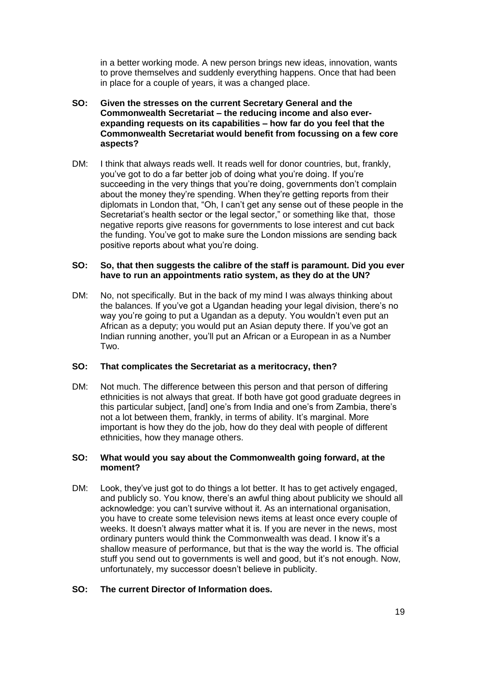in a better working mode. A new person brings new ideas, innovation, wants to prove themselves and suddenly everything happens. Once that had been in place for a couple of years, it was a changed place.

- **SO: Given the stresses on the current Secretary General and the Commonwealth Secretariat – the reducing income and also everexpanding requests on its capabilities – how far do you feel that the Commonwealth Secretariat would benefit from focussing on a few core aspects?**
- DM: I think that always reads well. It reads well for donor countries, but, frankly, you've got to do a far better job of doing what you're doing. If you're succeeding in the very things that you're doing, governments don't complain about the money they're spending. When they're getting reports from their diplomats in London that, "Oh, I can't get any sense out of these people in the Secretariat's health sector or the legal sector," or something like that, those negative reports give reasons for governments to lose interest and cut back the funding. You've got to make sure the London missions are sending back positive reports about what you're doing.

### **SO: So, that then suggests the calibre of the staff is paramount. Did you ever have to run an appointments ratio system, as they do at the UN?**

DM: No, not specifically. But in the back of my mind I was always thinking about the balances. If you've got a Ugandan heading your legal division, there's no way you're going to put a Ugandan as a deputy. You wouldn't even put an African as a deputy; you would put an Asian deputy there. If you've got an Indian running another, you'll put an African or a European in as a Number Two.

## **SO: That complicates the Secretariat as a meritocracy, then?**

DM: Not much. The difference between this person and that person of differing ethnicities is not always that great. If both have got good graduate degrees in this particular subject, [and] one's from India and one's from Zambia, there's not a lot between them, frankly, in terms of ability. It's marginal. More important is how they do the job, how do they deal with people of different ethnicities, how they manage others.

#### **SO: What would you say about the Commonwealth going forward, at the moment?**

DM: Look, they've just got to do things a lot better. It has to get actively engaged, and publicly so. You know, there's an awful thing about publicity we should all acknowledge: you can't survive without it. As an international organisation, you have to create some television news items at least once every couple of weeks. It doesn't always matter what it is. If you are never in the news, most ordinary punters would think the Commonwealth was dead. I know it's a shallow measure of performance, but that is the way the world is. The official stuff you send out to governments is well and good, but it's not enough. Now, unfortunately, my successor doesn't believe in publicity.

#### **SO: The current Director of Information does.**